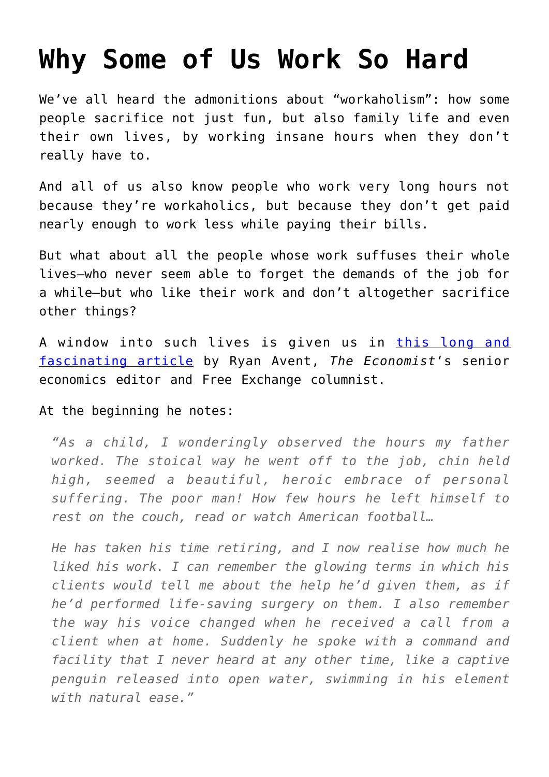## **[Why Some of Us Work So Hard](https://intellectualtakeout.org/2016/04/why-some-of-us-work-so-hard/)**

We've all heard the admonitions about "workaholism": how some people sacrifice not just fun, but also family life and even their own lives, by working insane hours when they don't really have to.

And all of us also know people who work very long hours not because they're workaholics, but because they don't get paid nearly enough to work less while paying their bills.

But what about all the people whose work suffuses their whole lives–who never seem able to forget the demands of the job for a while–but who like their work and don't altogether sacrifice other things?

A window into such lives is given us in [this long and](https://www.1843magazine.com/features/why-do-we-work-so-hard) [fascinating article](https://www.1843magazine.com/features/why-do-we-work-so-hard) by Ryan Avent, *The Economist*'s senior economics editor and Free Exchange columnist.

## At the beginning he notes:

*"As a child, I wonderingly observed the hours my father worked. The stoical way he went off to the job, chin held high, seemed a beautiful, heroic embrace of personal suffering. The poor man! How few hours he left himself to rest on the couch, read or watch American football…*

*He has taken his time retiring, and I now realise how much he liked his work. I can remember the glowing terms in which his clients would tell me about the help he'd given them, as if he'd performed life-saving surgery on them. I also remember the way his voice changed when he received a call from a client when at home. Suddenly he spoke with a command and facility that I never heard at any other time, like a captive penguin released into open water, swimming in his element with natural ease."*